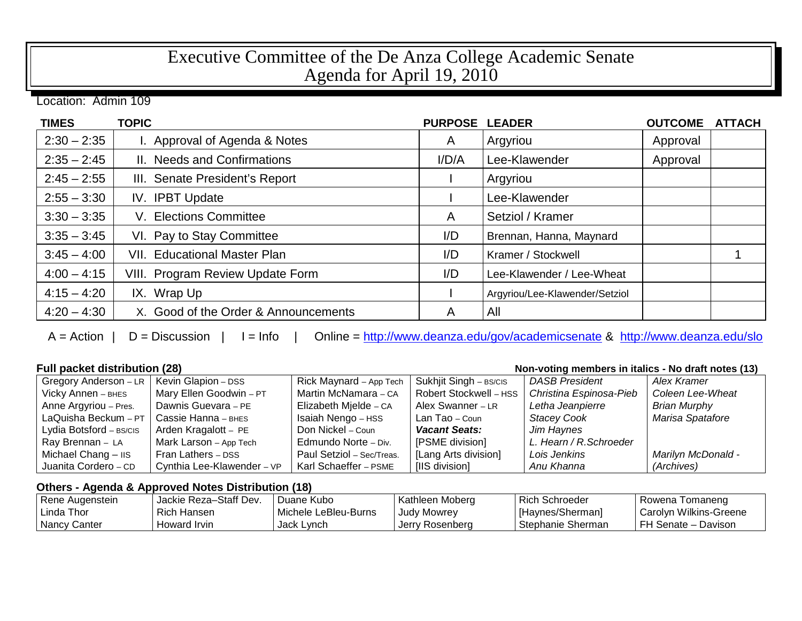## Executive Committee of the De Anza College Academic Senate Agenda for April 19, 2010

Location: Admin 109

| <b>TIMES</b>  | <b>TOPIC</b>                         | <b>PURPOSE</b> | <b>LEADER</b>                  | <b>OUTCOME</b> | <b>ATTACH</b> |
|---------------|--------------------------------------|----------------|--------------------------------|----------------|---------------|
| $2:30 - 2:35$ | I. Approval of Agenda & Notes        | A              | Argyriou                       | Approval       |               |
| $2:35 - 2:45$ | II. Needs and Confirmations          | I/D/A          | Lee-Klawender                  | Approval       |               |
| $2:45 - 2:55$ | III. Senate President's Report       |                | Argyriou                       |                |               |
| $2:55 - 3:30$ | IV. IPBT Update                      |                | Lee-Klawender                  |                |               |
| $3:30 - 3:35$ | V. Elections Committee               | A              | Setziol / Kramer               |                |               |
| $3:35 - 3:45$ | VI. Pay to Stay Committee            | I/D            | Brennan, Hanna, Maynard        |                |               |
| $3:45 - 4:00$ | <b>VII. Educational Master Plan</b>  | I/D            | Kramer / Stockwell             |                |               |
| $4:00 - 4:15$ | VIII. Program Review Update Form     | I/D            | Lee-Klawender / Lee-Wheat      |                |               |
| $4:15 - 4:20$ | IX. Wrap Up                          |                | Argyriou/Lee-Klawender/Setziol |                |               |
| $4:20 - 4:30$ | X. Good of the Order & Announcements | A              | All                            |                |               |

A = Action | D = Discussion | I = Info | Online =<http://www.deanza.edu/gov/academicsenate> & <http://www.deanza.edu/slo>

**Full packet distribution (28) Non-voting members in italics - No draft notes (13)**

| Gregory Anderson - LR   | Kevin Glapion - DSS        | Rick Maynard - App Tech   | Sukhjit Singh – BS/CIS | <b>DASB President</b>   | Alex Kramer        |
|-------------------------|----------------------------|---------------------------|------------------------|-------------------------|--------------------|
| Vicky Annen - BHES      | Mary Ellen Goodwin - PT    | Martin McNamara - CA      | Robert Stockwell - HSS | Christina Espinosa-Pieb | Coleen Lee-Wheat   |
| Anne Argyriou - Pres.   | Dawnis Guevara - PE        | Elizabeth Mjelde - CA     | Alex Swanner - LR      | Letha Jeanpierre        | Brian Murphy       |
| LaQuisha Beckum - PT    | Cassie Hanna - внез        | Isaiah Nengo - HSS        | Lan Tao – Coun         | <b>Stacey Cook</b>      | Marisa Spatafore   |
| Lydia Botsford - BS/CIS | Arden Kragalott - PE       | Don Nickel – Coun         | <b>Vacant Seats:</b>   | Jim Haynes              |                    |
| Ray Brennan - LA        | Mark Larson - App Tech     | Edmundo Norte - Div.      | [PSME division]        | L. Hearn / R. Schroeder |                    |
| Michael Chang - IIS     | Fran Lathers - DSS         | Paul Setziol - Sec/Treas. | [Lang Arts division]   | Lois Jenkins            | Marilyn McDonald - |
| Juanita Cordero - CD    | Cynthia Lee-Klawender - VP | Karl Schaeffer - PSME     | [IIS division]         | Anu Khanna              | (Archives)         |

## **Others - Agenda & Approved Notes Distribution (18)**

| Rene Augenstein | Jackie Reza-Staff Dev. | Duane Kubo           | Kathleen Moberg | l Rich Schroeder  | Rowena Tomaneng        |
|-----------------|------------------------|----------------------|-----------------|-------------------|------------------------|
| Linda Thor      | Rich Hansen            | Michele LeBleu-Burns | Judy Mowrey     | [Haynes/Sherman]  | Carolyn Wilkins-Greene |
| Nancy Canter    | Howard Irvin           | Jack Lynch           | Jerry Rosenberg | Stephanie Sherman | l FH Senate – Davison  |